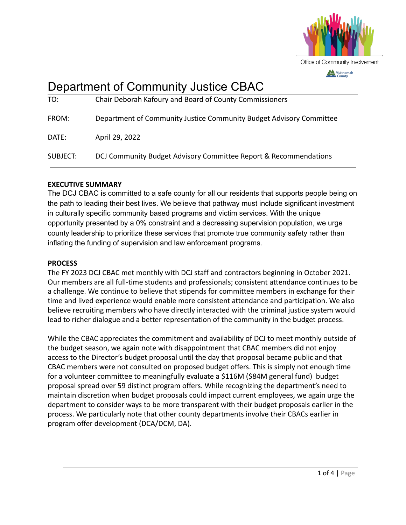

# Department of Community Justice CBAC

| TO:      | Chair Deborah Kafoury and Board of County Commissioners             |
|----------|---------------------------------------------------------------------|
| FROM:    | Department of Community Justice Community Budget Advisory Committee |
| DATE:    | April 29, 2022                                                      |
| SUBJECT: | DCJ Community Budget Advisory Committee Report & Recommendations    |

# **EXECUTIVE SUMMARY**

The DCJ CBAC is committed to a safe county for all our residents that supports people being on the path to leading their best lives. We believe that pathway must include significant investment in culturally specific community based programs and victim services. With the unique opportunity presented by a 0% constraint and a decreasing supervision population, we urge county leadership to prioritize these services that promote true community safety rather than inflating the funding of supervision and law enforcement programs.

# **PROCESS**

The FY 2023 DCJ CBAC met monthly with DCJ staff and contractors beginning in October 2021. Our members are all full-time students and professionals; consistent attendance continues to be a challenge. We continue to believe that stipends for committee members in exchange for their time and lived experience would enable more consistent attendance and participation. We also believe recruiting members who have directly interacted with the criminal justice system would lead to richer dialogue and a better representation of the community in the budget process.

While the CBAC appreciates the commitment and availability of DCJ to meet monthly outside of the budget season, we again note with disappointment that CBAC members did not enjoy access to the Director's budget proposal until the day that proposal became public and that CBAC members were not consulted on proposed budget offers. This is simply not enough time for a volunteer committee to meaningfully evaluate a \$116M (\$84M general fund) budget proposal spread over 59 distinct program offers. While recognizing the department's need to maintain discretion when budget proposals could impact current employees, we again urge the department to consider ways to be more transparent with their budget proposals earlier in the process. We particularly note that other county departments involve their CBACs earlier in program offer development (DCA/DCM, DA).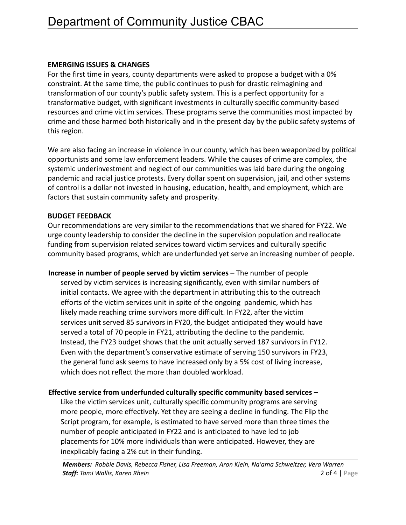# **EMERGING ISSUES & CHANGES**

For the first time in years, county departments were asked to propose a budget with a 0% constraint. At the same time, the public continues to push for drastic reimagining and transformation of our county's public safety system. This is a perfect opportunity for a transformative budget, with significant investments in culturally specific community-based resources and crime victim services. These programs serve the communities most impacted by crime and those harmed both historically and in the present day by the public safety systems of this region.

We are also facing an increase in violence in our county, which has been weaponized by political opportunists and some law enforcement leaders. While the causes of crime are complex, the systemic underinvestment and neglect of our communities was laid bare during the ongoing pandemic and racial justice protests. Every dollar spent on supervision, jail, and other systems of control is a dollar not invested in housing, education, health, and employment, which are factors that sustain community safety and prosperity.

# **BUDGET FEEDBACK**

Our recommendations are very similar to the recommendations that we shared for FY22. We urge county leadership to consider the decline in the supervision population and reallocate funding from supervision related services toward victim services and culturally specific community based programs, which are underfunded yet serve an increasing number of people.

**Increase in number of people served by victim services** – The number of people served by victim services is increasing significantly, even with similar numbers of initial contacts. We agree with the department in attributing this to the outreach efforts of the victim services unit in spite of the ongoing pandemic, which has likely made reaching crime survivors more difficult. In FY22, after the victim services unit served 85 survivors in FY20, the budget anticipated they would have served a total of 70 people in FY21, attributing the decline to the pandemic. Instead, the FY23 budget shows that the unit actually served 187 survivors in FY12. Even with the department's conservative estimate of serving 150 survivors in FY23, the general fund ask seems to have increased only by a 5% cost of living increase, which does not reflect the more than doubled workload.

# **Effective service from underfunded culturally specific community based services –**

Like the victim services unit, culturally specific community programs are serving more people, more effectively. Yet they are seeing a decline in funding. The Flip the Script program, for example, is estimated to have served more than three times the number of people anticipated in FY22 and is anticipated to have led to job placements for 10% more individuals than were anticipated. However, they are inexplicably facing a 2% cut in their funding.

*Members: Robbie Davis, Rebecca Fisher, Lisa Freeman, Aron Klein, Na'ama Schweitzer, Vera Warren Staff:**Tami Wallis, Karen Rhein* **2 of 4 | Page 2 of 4 | Page 2 of 4 | Page 2 of 4 | Page 2 of 4 | Page 2 of 4 | Page 2 of 4 | Page 2 of 4 | Page 2 of 4 | Page 2 of 4 | Page 2 of 4 | Page 2 of 4 | Page 2 of 4 | Page 2 o**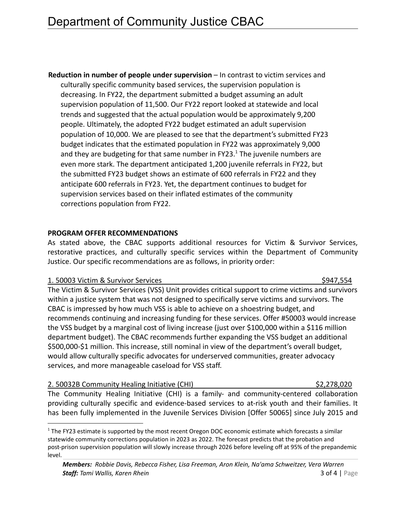**Reduction in number of people under supervision** – In contrast to victim services and culturally specific community based services, the supervision population is decreasing. In FY22, the department submitted a budget assuming an adult supervision population of 11,500. Our FY22 report looked at statewide and local trends and suggested that the actual population would be approximately 9,200 people. Ultimately, the adopted FY22 budget estimated an adult supervision population of 10,000. We are pleased to see that the department's submitted FY23 budget indicates that the estimated population in FY22 was approximately 9,000 and they are budgeting for that same number in FY23.<sup>1</sup> The juvenile numbers are even more stark. The department anticipated 1,200 juvenile referrals in FY22, but the submitted FY23 budget shows an estimate of 600 referrals in FY22 and they anticipate 600 referrals in FY23. Yet, the department continues to budget for supervision services based on their inflated estimates of the community corrections population from FY22.

# **PROGRAM OFFER RECOMMENDATIONS**

As stated above, the CBAC supports additional resources for Victim & Survivor Services, restorative practices, and culturally specific services within the Department of Community Justice. Our specific recommendations are as follows, in priority order:

### 1. 50003 Victim & Survivor Services  $\frac{1}{2}$  S947,554

# The Victim & Survivor Services (VSS) Unit provides critical support to crime victims and survivors within a justice system that was not designed to specifically serve victims and survivors. The CBAC is impressed by how much VSS is able to achieve on a shoestring budget, and recommends continuing and increasing funding for these services. Offer #50003 would increase the VSS budget by a marginal cost of living increase (just over \$100,000 within a \$116 million department budget). The CBAC recommends further expanding the VSS budget an additional \$500,000-\$1 million. This increase, still nominal in view of the department's overall budget, would allow culturally specific advocates for underserved communities, greater advocacy services, and more manageable caseload for VSS staff.

# 2. 50032B Community Healing Initiative (CHI) \$2,278,020

The Community Healing Initiative (CHI) is a family- and community-centered collaboration providing culturally specific and evidence-based services to at-risk youth and their families. It has been fully implemented in the Juvenile Services Division [Offer 50065] since July 2015 and

 $1$  The FY23 estimate is supported by the most recent Oregon DOC economic estimate which forecasts a similar statewide community corrections population in 2023 as 2022. The forecast predicts that the probation and post-prison supervision population will slowly increase through 2026 before leveling off at 95% of the prepandemic level.

*Members: Robbie Davis, Rebecca Fisher, Lisa Freeman, Aron Klein, Na'ama Schweitzer, Vera Warren Staff:**Tami Wallis, Karen Rhein* **3 of 4 | Page 3 of 4 | Page 3 of 4 | Page 3 of 4 | Page 3 of 4 | Page 3 of 4 | Page 3 of 4 | Page 3 of 4 | Page 3 of 4 | Page 3 of 4 | Page 3 of 4 | Page 3 of 4 | Page 3 of 4 | Page 3 o**